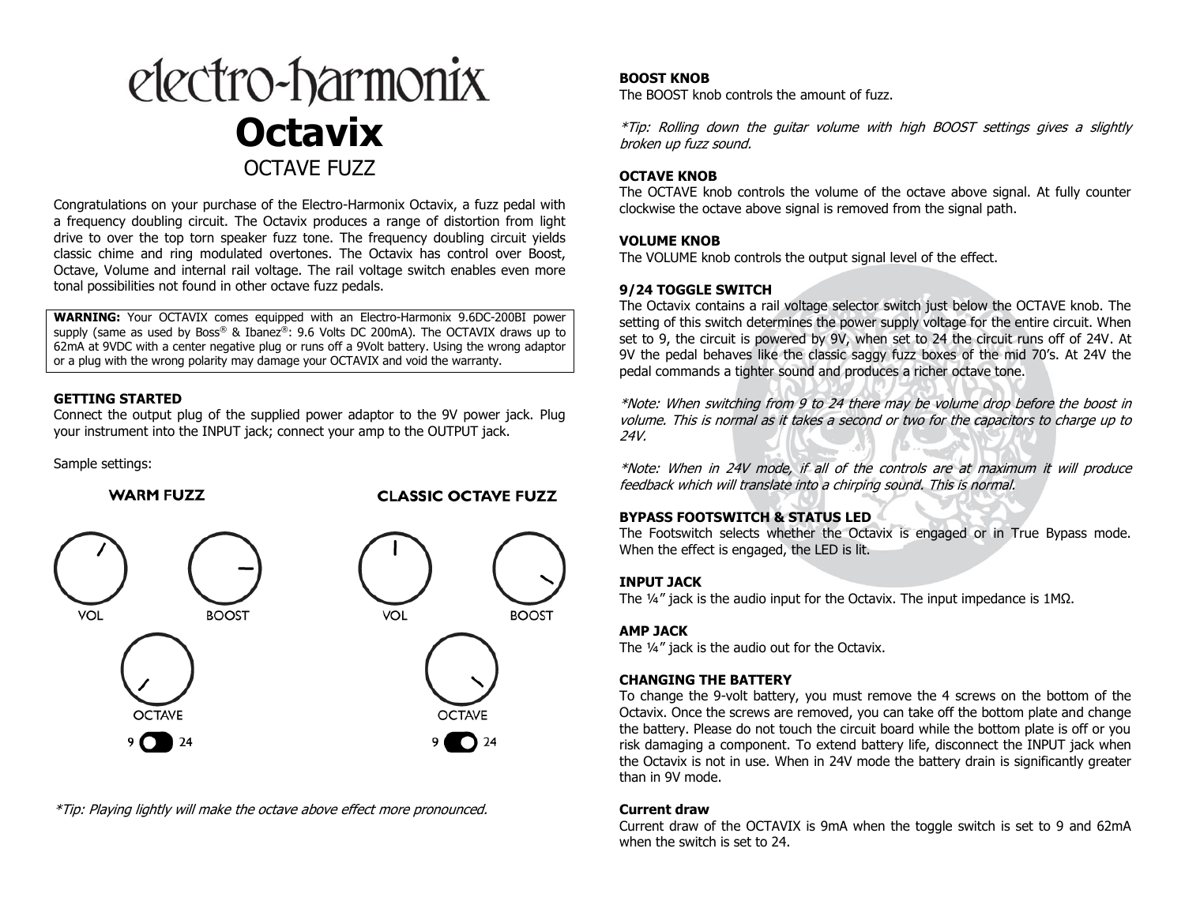

Congratulations on your purchase of the Electro-Harmonix Octavix, a fuzz pedal with a frequency doubling circuit. The Octavix produces a range of distortion from light drive to over the top torn speaker fuzz tone. The frequency doubling circuit yields classic chime and ring modulated overtones. The Octavix has control over Boost, Octave, Volume and internal rail voltage. The rail voltage switch enables even more tonal possibilities not found in other octave fuzz pedals.

**WARNING:** Your OCTAVIX comes equipped with an Electro-Harmonix 9.6DC-200BI power supply (same as used by Boss® & Ibanez®: 9.6 Volts DC 200mA). The OCTAVIX draws up to 62mA at 9VDC with a center negative plug or runs off a 9Volt battery. Using the wrong adaptor or a plug with the wrong polarity may damage your OCTAVIX and void the warranty.

### **GETTING STARTED**

Connect the output plug of the supplied power adaptor to the 9V power jack. Plug your instrument into the INPUT jack; connect your amp to the OUTPUT jack.

Sample settings:



\*Tip: Playing lightly will make the octave above effect more pronounced.

# **BOOST KNOB**

The BOOST knob controls the amount of fuzz.

\*Tip: Rolling down the guitar volume with high BOOST settings gives a slightly broken up fuzz sound.

# **OCTAVE KNOB**

The OCTAVE knob controls the volume of the octave above signal. At fully counter clockwise the octave above signal is removed from the signal path.

# **VOLUME KNOB**

The VOLUME knob controls the output signal level of the effect.

### **9/24 TOGGLE SWITCH**

The Octavix contains a rail voltage selector switch just below the OCTAVE knob. The setting of this switch determines the power supply voltage for the entire circuit. When set to 9, the circuit is powered by 9V, when set to 24 the circuit runs off of 24V. At 9V the pedal behaves like the classic saggy fuzz boxes of the mid 70's. At 24V the pedal commands a tighter sound and produces a richer octave tone.

\*Note: When switching from 9 to 24 there may be volume drop before the boost in volume. This is normal as it takes a second or two for the capacitors to charge up to 24V.

\*Note: When in 24V mode, if all of the controls are at maximum it will produce feedback which will translate into a chirping sound. This is normal.

### **BYPASS FOOTSWITCH & STATUS LED**

The Footswitch selects whether the Octavix is engaged or in True Bypass mode. When the effect is engaged, the LED is lit.

### **INPUT JACK**

The ¼" jack is the audio input for the Octavix. The input impedance is 1MΩ.

### **AMP JACK**

The ¼" jack is the audio out for the Octavix.

# **CHANGING THE BATTERY**

To change the 9-volt battery, you must remove the 4 screws on the bottom of the Octavix. Once the screws are removed, you can take off the bottom plate and change the battery. Please do not touch the circuit board while the bottom plate is off or you risk damaging a component. To extend battery life, disconnect the INPUT jack when the Octavix is not in use. When in 24V mode the battery drain is significantly greater than in 9V mode.

### **Current draw**

Current draw of the OCTAVIX is 9mA when the toggle switch is set to 9 and 62mA when the switch is set to 24.